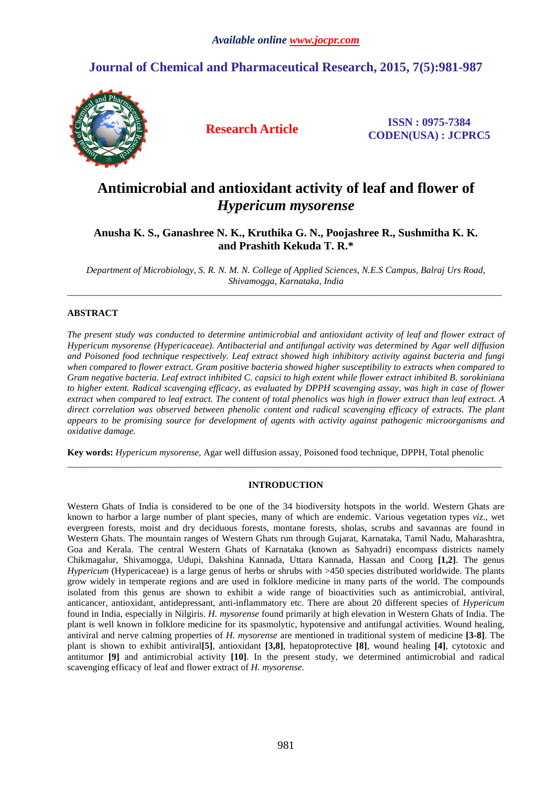## **Journal of Chemical and Pharmaceutical Research, 2015, 7(5):981-987**



**Research Article ISSN : 0975-7384 CODEN(USA) : JCPRC5**

# **Antimicrobial and antioxidant activity of leaf and flower of**  *Hypericum mysorense*

**Anusha K. S., Ganashree N. K., Kruthika G. N., Poojashree R., Sushmitha K. K. and Prashith Kekuda T. R.\*** 

*Department of Microbiology, S. R. N. M. N. College of Applied Sciences, N.E.S Campus, Balraj Urs Road, Shivamogga, Karnataka, India*  \_\_\_\_\_\_\_\_\_\_\_\_\_\_\_\_\_\_\_\_\_\_\_\_\_\_\_\_\_\_\_\_\_\_\_\_\_\_\_\_\_\_\_\_\_\_\_\_\_\_\_\_\_\_\_\_\_\_\_\_\_\_\_\_\_\_\_\_\_\_\_\_\_\_\_\_\_\_\_\_\_\_\_\_\_\_\_\_\_\_\_\_\_

## **ABSTRACT**

*The present study was conducted to determine antimicrobial and antioxidant activity of leaf and flower extract of Hypericum mysorense (Hypericaceae). Antibacterial and antifungal activity was determined by Agar well diffusion and Poisoned food technique respectively. Leaf extract showed high inhibitory activity against bacteria and fungi when compared to flower extract. Gram positive bacteria showed higher susceptibility to extracts when compared to Gram negative bacteria. Leaf extract inhibited C. capsici to high extent while flower extract inhibited B. sorokiniana to higher extent. Radical scavenging efficacy, as evaluated by DPPH scavenging assay, was high in case of flower extract when compared to leaf extract. The content of total phenolics was high in flower extract than leaf extract. A direct correlation was observed between phenolic content and radical scavenging efficacy of extracts. The plant appears to be promising source for development of agents with activity against pathogenic microorganisms and oxidative damage.* 

**Key words:** *Hypericum mysorense*, Agar well diffusion assay, Poisoned food technique, DPPH, Total phenolic

## **INTRODUCTION**

\_\_\_\_\_\_\_\_\_\_\_\_\_\_\_\_\_\_\_\_\_\_\_\_\_\_\_\_\_\_\_\_\_\_\_\_\_\_\_\_\_\_\_\_\_\_\_\_\_\_\_\_\_\_\_\_\_\_\_\_\_\_\_\_\_\_\_\_\_\_\_\_\_\_\_\_\_\_\_\_\_\_\_\_\_\_\_\_\_\_\_\_\_

Western Ghats of India is considered to be one of the 34 biodiversity hotspots in the world. Western Ghats are known to harbor a large number of plant species, many of which are endemic. Various vegetation types *viz*., wet evergreen forests, moist and dry deciduous forests, montane forests, sholas, scrubs and savannas are found in Western Ghats. The mountain ranges of Western Ghats run through Gujarat, Karnataka, Tamil Nadu, Maharashtra, Goa and Kerala. The central Western Ghats of Karnataka (known as Sahyadri) encompass districts namely Chikmagalur, Shivamogga, Udupi, Dakshina Kannada, Uttara Kannada, Hassan and Coorg **[1,2]**. The genus *Hypericum* (Hypericaceae) is a large genus of herbs or shrubs with >450 species distributed worldwide. The plants grow widely in temperate regions and are used in folklore medicine in many parts of the world. The compounds isolated from this genus are shown to exhibit a wide range of bioactivities such as antimicrobial, antiviral, anticancer, antioxidant, antidepressant, anti-inflammatory etc. There are about 20 different species of *Hypericum* found in India, especially in Nilgiris. *H. mysorense* found primarily at high elevation in Western Ghats of India. The plant is well known in folklore medicine for its spasmolytic, hypotensive and antifungal activities. Wound healing, antiviral and nerve calming properties of *H. mysorense* are mentioned in traditional system of medicine **[3-8]**. The plant is shown to exhibit antiviral**[5]**, antioxidant **[3,8]**, hepatoprotective **[8]**, wound healing **[4]**, cytotoxic and antitumor **[9]** and antimicrobial activity **[10]**. In the present study, we determined antimicrobial and radical scavenging efficacy of leaf and flower extract of *H. mysorense*.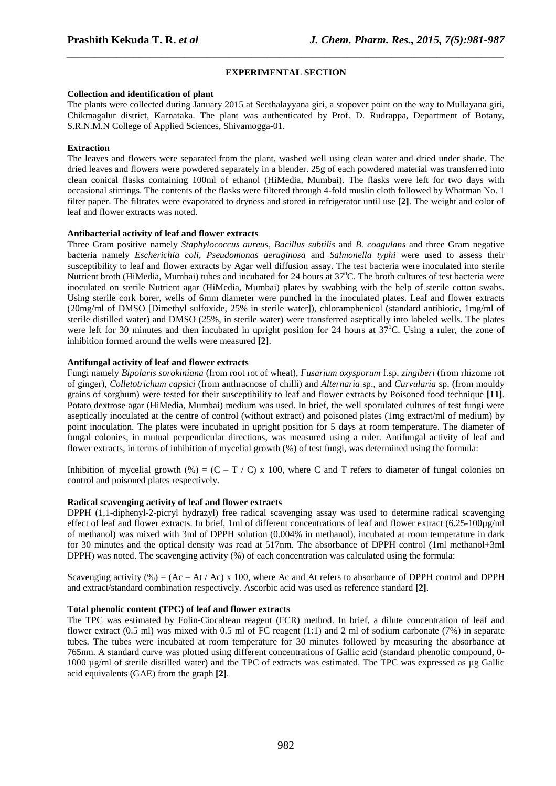## **EXPERIMENTAL SECTION**

*\_\_\_\_\_\_\_\_\_\_\_\_\_\_\_\_\_\_\_\_\_\_\_\_\_\_\_\_\_\_\_\_\_\_\_\_\_\_\_\_\_\_\_\_\_\_\_\_\_\_\_\_\_\_\_\_\_\_\_\_\_\_\_\_\_\_\_\_\_\_\_\_\_\_\_\_\_\_*

## **Collection and identification of plant**

The plants were collected during January 2015 at Seethalayyana giri, a stopover point on the way to Mullayana giri, Chikmagalur district, Karnataka. The plant was authenticated by Prof. D. Rudrappa, Department of Botany, S.R.N.M.N College of Applied Sciences, Shivamogga-01.

## **Extraction**

The leaves and flowers were separated from the plant, washed well using clean water and dried under shade. The dried leaves and flowers were powdered separately in a blender. 25g of each powdered material was transferred into clean conical flasks containing 100ml of ethanol (HiMedia, Mumbai). The flasks were left for two days with occasional stirrings. The contents of the flasks were filtered through 4-fold muslin cloth followed by Whatman No. 1 filter paper. The filtrates were evaporated to dryness and stored in refrigerator until use **[2]**. The weight and color of leaf and flower extracts was noted.

## **Antibacterial activity of leaf and flower extracts**

Three Gram positive namely *Staphylococcus aureus*, *Bacillus subtilis* and *B. coagulans* and three Gram negative bacteria namely *Escherichia coli*, *Pseudomonas aeruginosa* and *Salmonella typhi* were used to assess their susceptibility to leaf and flower extracts by Agar well diffusion assay. The test bacteria were inoculated into sterile Nutrient broth (HiMedia, Mumbai) tubes and incubated for 24 hours at  $37^{\circ}$ C. The broth cultures of test bacteria were inoculated on sterile Nutrient agar (HiMedia, Mumbai) plates by swabbing with the help of sterile cotton swabs. Using sterile cork borer, wells of 6mm diameter were punched in the inoculated plates. Leaf and flower extracts (20mg/ml of DMSO [Dimethyl sulfoxide, 25% in sterile water]), chloramphenicol (standard antibiotic, 1mg/ml of sterile distilled water) and DMSO (25%, in sterile water) were transferred aseptically into labeled wells. The plates were left for 30 minutes and then incubated in upright position for 24 hours at  $37^{\circ}$ C. Using a ruler, the zone of inhibition formed around the wells were measured **[2]**.

## **Antifungal activity of leaf and flower extracts**

Fungi namely *Bipolaris sorokiniana* (from root rot of wheat), *Fusarium oxysporum* f.sp. *zingiberi* (from rhizome rot of ginger), *Colletotrichum capsici* (from anthracnose of chilli) and *Alternaria* sp., and *Curvularia* sp. (from mouldy grains of sorghum) were tested for their susceptibility to leaf and flower extracts by Poisoned food technique **[11]**. Potato dextrose agar (HiMedia, Mumbai) medium was used. In brief, the well sporulated cultures of test fungi were aseptically inoculated at the centre of control (without extract) and poisoned plates (1mg extract/ml of medium) by point inoculation. The plates were incubated in upright position for 5 days at room temperature. The diameter of fungal colonies, in mutual perpendicular directions, was measured using a ruler. Antifungal activity of leaf and flower extracts, in terms of inhibition of mycelial growth (%) of test fungi, was determined using the formula:

Inhibition of mycelial growth (%) =  $(C - T / C)$  x 100, where C and T refers to diameter of fungal colonies on control and poisoned plates respectively.

#### **Radical scavenging activity of leaf and flower extracts**

DPPH (1,1-diphenyl-2-picryl hydrazyl) free radical scavenging assay was used to determine radical scavenging effect of leaf and flower extracts. In brief, 1ml of different concentrations of leaf and flower extract (6.25-100µg/ml of methanol) was mixed with 3ml of DPPH solution (0.004% in methanol), incubated at room temperature in dark for 30 minutes and the optical density was read at 517nm. The absorbance of DPPH control (1ml methanol+3ml DPPH) was noted. The scavenging activity (%) of each concentration was calculated using the formula:

Scavenging activity (%) =  $(Ac - At / Ac)$  x 100, where Ac and At refers to absorbance of DPPH control and DPPH and extract/standard combination respectively. Ascorbic acid was used as reference standard **[2]**.

## **Total phenolic content (TPC) of leaf and flower extracts**

The TPC was estimated by Folin-Ciocalteau reagent (FCR) method. In brief, a dilute concentration of leaf and flower extract (0.5 ml) was mixed with 0.5 ml of FC reagent (1:1) and 2 ml of sodium carbonate (7%) in separate tubes. The tubes were incubated at room temperature for 30 minutes followed by measuring the absorbance at 765nm. A standard curve was plotted using different concentrations of Gallic acid (standard phenolic compound, 0- 1000 µg/ml of sterile distilled water) and the TPC of extracts was estimated. The TPC was expressed as µg Gallic acid equivalents (GAE) from the graph **[2]**.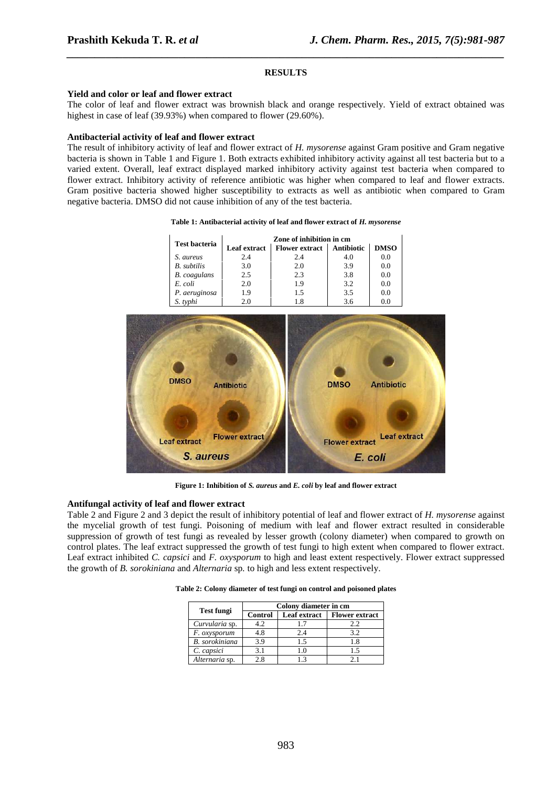#### **RESULTS**

*\_\_\_\_\_\_\_\_\_\_\_\_\_\_\_\_\_\_\_\_\_\_\_\_\_\_\_\_\_\_\_\_\_\_\_\_\_\_\_\_\_\_\_\_\_\_\_\_\_\_\_\_\_\_\_\_\_\_\_\_\_\_\_\_\_\_\_\_\_\_\_\_\_\_\_\_\_\_*

#### **Yield and color or leaf and flower extract**

The color of leaf and flower extract was brownish black and orange respectively. Yield of extract obtained was highest in case of leaf (39.93%) when compared to flower (29.60%).

## **Antibacterial activity of leaf and flower extract**

The result of inhibitory activity of leaf and flower extract of *H. mysorense* against Gram positive and Gram negative bacteria is shown in Table 1 and Figure 1. Both extracts exhibited inhibitory activity against all test bacteria but to a varied extent. Overall, leaf extract displayed marked inhibitory activity against test bacteria when compared to flower extract. Inhibitory activity of reference antibiotic was higher when compared to leaf and flower extracts. Gram positive bacteria showed higher susceptibility to extracts as well as antibiotic when compared to Gram negative bacteria. DMSO did not cause inhibition of any of the test bacteria.

|  | Table 1: Antibacterial activity of leaf and flower extract of H. mysorense |
|--|----------------------------------------------------------------------------|
|--|----------------------------------------------------------------------------|

| <b>Test bacteria</b> | Zone of inhibition in cm |                       |                   |             |  |
|----------------------|--------------------------|-----------------------|-------------------|-------------|--|
|                      | <b>Leaf extract</b>      | <b>Flower extract</b> | <b>Antibiotic</b> | <b>DMSO</b> |  |
| S. aureus            | 2.4                      | 2.4                   | 4.0               | 0.0         |  |
| <b>B.</b> subtilis   | 3.0                      | 2.0                   | 3.9               | 0.0         |  |
| <b>B.</b> coagulans  | 2.5                      | 2.3                   | 3.8               | 0.0         |  |
| E. coli              | 2.0                      | 1.9                   | 3.2               | 0.0         |  |
| P. aeruginosa        | 19                       | 1.5                   | 3.5               | 0.0         |  |
| S. typhi             | 20                       |                       | 36                | 00          |  |



**Figure 1: Inhibition of** *S. aureus* **and** *E. coli* **by leaf and flower extract** 

### **Antifungal activity of leaf and flower extract**

Table 2 and Figure 2 and 3 depict the result of inhibitory potential of leaf and flower extract of *H. mysorense* against the mycelial growth of test fungi. Poisoning of medium with leaf and flower extract resulted in considerable suppression of growth of test fungi as revealed by lesser growth (colony diameter) when compared to growth on control plates. The leaf extract suppressed the growth of test fungi to high extent when compared to flower extract. Leaf extract inhibited *C. capsici* and *F. oxysporum* to high and least extent respectively. Flower extract suppressed the growth of *B. sorokiniana* and *Alternaria* sp*.* to high and less extent respectively.

|                       | Colony diameter in cm |              |                       |  |
|-----------------------|-----------------------|--------------|-----------------------|--|
| <b>Test fungi</b>     | <b>Control</b>        | Leaf extract | <b>Flower extract</b> |  |
| Curvularia sp.        | 4.2                   | 1.7          | 2.2                   |  |
| F. oxysporum          | 4.8                   | 2.4          | 3.2                   |  |
| <b>B.</b> sorokiniana | 3.9                   | 1.5          | 1.8                   |  |
| C. capsici            | 3.1                   | 1.0          | 1.5                   |  |
| Alternaria sp.        | 2.8                   | 1.3          | 21                    |  |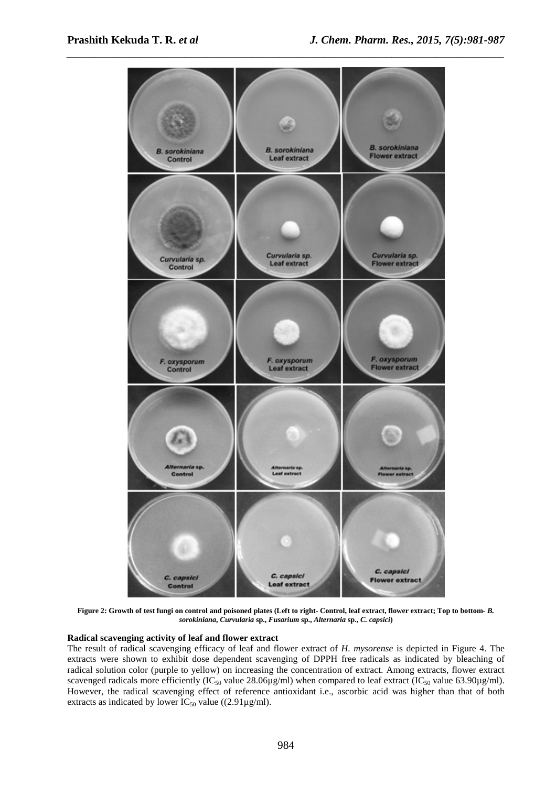

**Figure 2: Growth of test fungi on control and poisoned plates (Left to right- Control, leaf extract, flower extract; Top to bottom-** *B. sorokiniana***,** *Curvularia* **sp.,** *Fusarium* **sp.,** *Alternaria* **sp.,** *C. capsici***)** 

## **Radical scavenging activity of leaf and flower extract**

The result of radical scavenging efficacy of leaf and flower extract of *H. mysorense* is depicted in Figure 4. The extracts were shown to exhibit dose dependent scavenging of DPPH free radicals as indicated by bleaching of radical solution color (purple to yellow) on increasing the concentration of extract. Among extracts, flower extract scavenged radicals more efficiently (IC<sub>50</sub> value 28.06µg/ml) when compared to leaf extract (IC<sub>50</sub> value 63.90µg/ml). However, the radical scavenging effect of reference antioxidant i.e., ascorbic acid was higher than that of both extracts as indicated by lower  $IC_{50}$  value ((2.91µg/ml).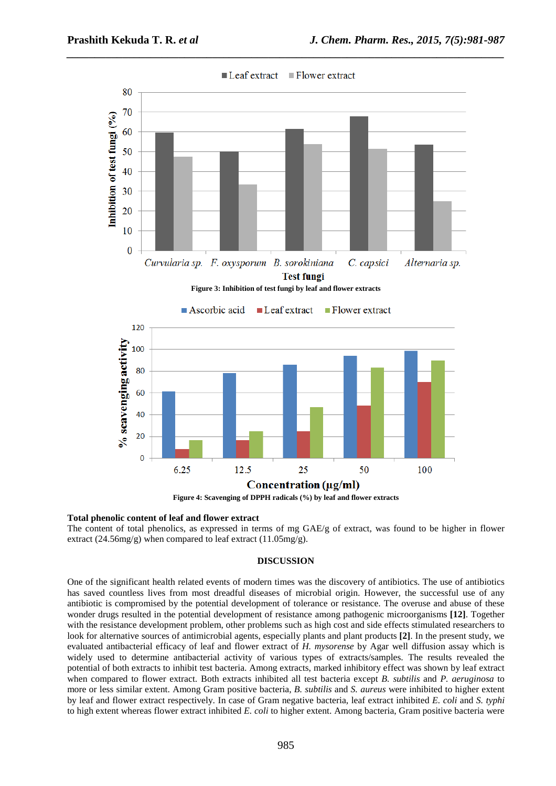

#### **Total phenolic content of leaf and flower extract**

The content of total phenolics, as expressed in terms of mg GAE/g of extract, was found to be higher in flower extract (24.56mg/g) when compared to leaf extract (11.05mg/g).

## **DISCUSSION**

One of the significant health related events of modern times was the discovery of antibiotics. The use of antibiotics has saved countless lives from most dreadful diseases of microbial origin. However, the successful use of any antibiotic is compromised by the potential development of tolerance or resistance. The overuse and abuse of these wonder drugs resulted in the potential development of resistance among pathogenic microorganisms **[12]**. Together with the resistance development problem, other problems such as high cost and side effects stimulated researchers to look for alternative sources of antimicrobial agents, especially plants and plant products **[2]**. In the present study, we evaluated antibacterial efficacy of leaf and flower extract of *H. mysorense* by Agar well diffusion assay which is widely used to determine antibacterial activity of various types of extracts/samples. The results revealed the potential of both extracts to inhibit test bacteria. Among extracts, marked inhibitory effect was shown by leaf extract when compared to flower extract. Both extracts inhibited all test bacteria except *B. subtilis* and *P. aeruginosa* to more or less similar extent. Among Gram positive bacteria, *B. subtilis* and *S. aureus* were inhibited to higher extent by leaf and flower extract respectively. In case of Gram negative bacteria, leaf extract inhibited *E. coli* and *S. typhi* to high extent whereas flower extract inhibited *E. coli* to higher extent. Among bacteria, Gram positive bacteria were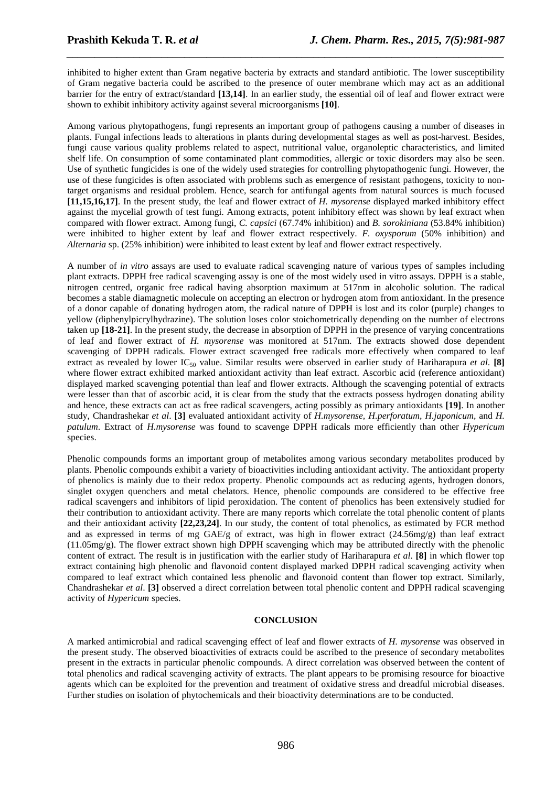inhibited to higher extent than Gram negative bacteria by extracts and standard antibiotic. The lower susceptibility of Gram negative bacteria could be ascribed to the presence of outer membrane which may act as an additional barrier for the entry of extract/standard **[13,14]**. In an earlier study, the essential oil of leaf and flower extract were shown to exhibit inhibitory activity against several microorganisms **[10]**.

*\_\_\_\_\_\_\_\_\_\_\_\_\_\_\_\_\_\_\_\_\_\_\_\_\_\_\_\_\_\_\_\_\_\_\_\_\_\_\_\_\_\_\_\_\_\_\_\_\_\_\_\_\_\_\_\_\_\_\_\_\_\_\_\_\_\_\_\_\_\_\_\_\_\_\_\_\_\_*

Among various phytopathogens, fungi represents an important group of pathogens causing a number of diseases in plants. Fungal infections leads to alterations in plants during developmental stages as well as post-harvest. Besides, fungi cause various quality problems related to aspect, nutritional value, organoleptic characteristics, and limited shelf life. On consumption of some contaminated plant commodities, allergic or toxic disorders may also be seen. Use of synthetic fungicides is one of the widely used strategies for controlling phytopathogenic fungi. However, the use of these fungicides is often associated with problems such as emergence of resistant pathogens, toxicity to nontarget organisms and residual problem. Hence, search for antifungal agents from natural sources is much focused **[11,15,16,17]**. In the present study, the leaf and flower extract of *H. mysorense* displayed marked inhibitory effect against the mycelial growth of test fungi. Among extracts, potent inhibitory effect was shown by leaf extract when compared with flower extract. Among fungi, *C. capsici* (67.74% inhibition) and *B. sorokiniana* (53.84% inhibition) were inhibited to higher extent by leaf and flower extract respectively. *F. oxysporum* (50% inhibition) and *Alternaria* sp. (25% inhibition) were inhibited to least extent by leaf and flower extract respectively.

A number of *in vitro* assays are used to evaluate radical scavenging nature of various types of samples including plant extracts. DPPH free radical scavenging assay is one of the most widely used in vitro assays. DPPH is a stable, nitrogen centred, organic free radical having absorption maximum at 517nm in alcoholic solution. The radical becomes a stable diamagnetic molecule on accepting an electron or hydrogen atom from antioxidant. In the presence of a donor capable of donating hydrogen atom, the radical nature of DPPH is lost and its color (purple) changes to yellow (diphenylpicrylhydrazine). The solution loses color stoichometrically depending on the number of electrons taken up **[18-21]**. In the present study, the decrease in absorption of DPPH in the presence of varying concentrations of leaf and flower extract of *H. mysorense* was monitored at 517nm. The extracts showed dose dependent scavenging of DPPH radicals. Flower extract scavenged free radicals more effectively when compared to leaf extract as revealed by lower IC<sub>50</sub> value. Similar results were observed in earlier study of Hariharapura *et al.* [8] where flower extract exhibited marked antioxidant activity than leaf extract. Ascorbic acid (reference antioxidant) displayed marked scavenging potential than leaf and flower extracts. Although the scavenging potential of extracts were lesser than that of ascorbic acid, it is clear from the study that the extracts possess hydrogen donating ability and hence, these extracts can act as free radical scavengers, acting possibly as primary antioxidants **[19]**. In another study, Chandrashekar *et al*. **[3]** evaluated antioxidant activity of *H.mysorense, H.perforatum, H.japonicum,* and *H. patulum*. Extract of *H.mysorense* was found to scavenge DPPH radicals more efficiently than other *Hypericum* species.

Phenolic compounds forms an important group of metabolites among various secondary metabolites produced by plants. Phenolic compounds exhibit a variety of bioactivities including antioxidant activity. The antioxidant property of phenolics is mainly due to their redox property. Phenolic compounds act as reducing agents, hydrogen donors, singlet oxygen quenchers and metal chelators. Hence, phenolic compounds are considered to be effective free radical scavengers and inhibitors of lipid peroxidation. The content of phenolics has been extensively studied for their contribution to antioxidant activity. There are many reports which correlate the total phenolic content of plants and their antioxidant activity **[22,23,24]**. In our study, the content of total phenolics, as estimated by FCR method and as expressed in terms of mg  $GAE/g$  of extract, was high in flower extract  $(24.56mg/g)$  than leaf extract (11.05mg/g). The flower extract shown high DPPH scavenging which may be attributed directly with the phenolic content of extract. The result is in justification with the earlier study of Hariharapura *et al*. **[8]** in which flower top extract containing high phenolic and flavonoid content displayed marked DPPH radical scavenging activity when compared to leaf extract which contained less phenolic and flavonoid content than flower top extract. Similarly, Chandrashekar *et al*. **[3]** observed a direct correlation between total phenolic content and DPPH radical scavenging activity of *Hypericum* species.

## **CONCLUSION**

A marked antimicrobial and radical scavenging effect of leaf and flower extracts of *H. mysorense* was observed in the present study. The observed bioactivities of extracts could be ascribed to the presence of secondary metabolites present in the extracts in particular phenolic compounds. A direct correlation was observed between the content of total phenolics and radical scavenging activity of extracts. The plant appears to be promising resource for bioactive agents which can be exploited for the prevention and treatment of oxidative stress and dreadful microbial diseases. Further studies on isolation of phytochemicals and their bioactivity determinations are to be conducted.